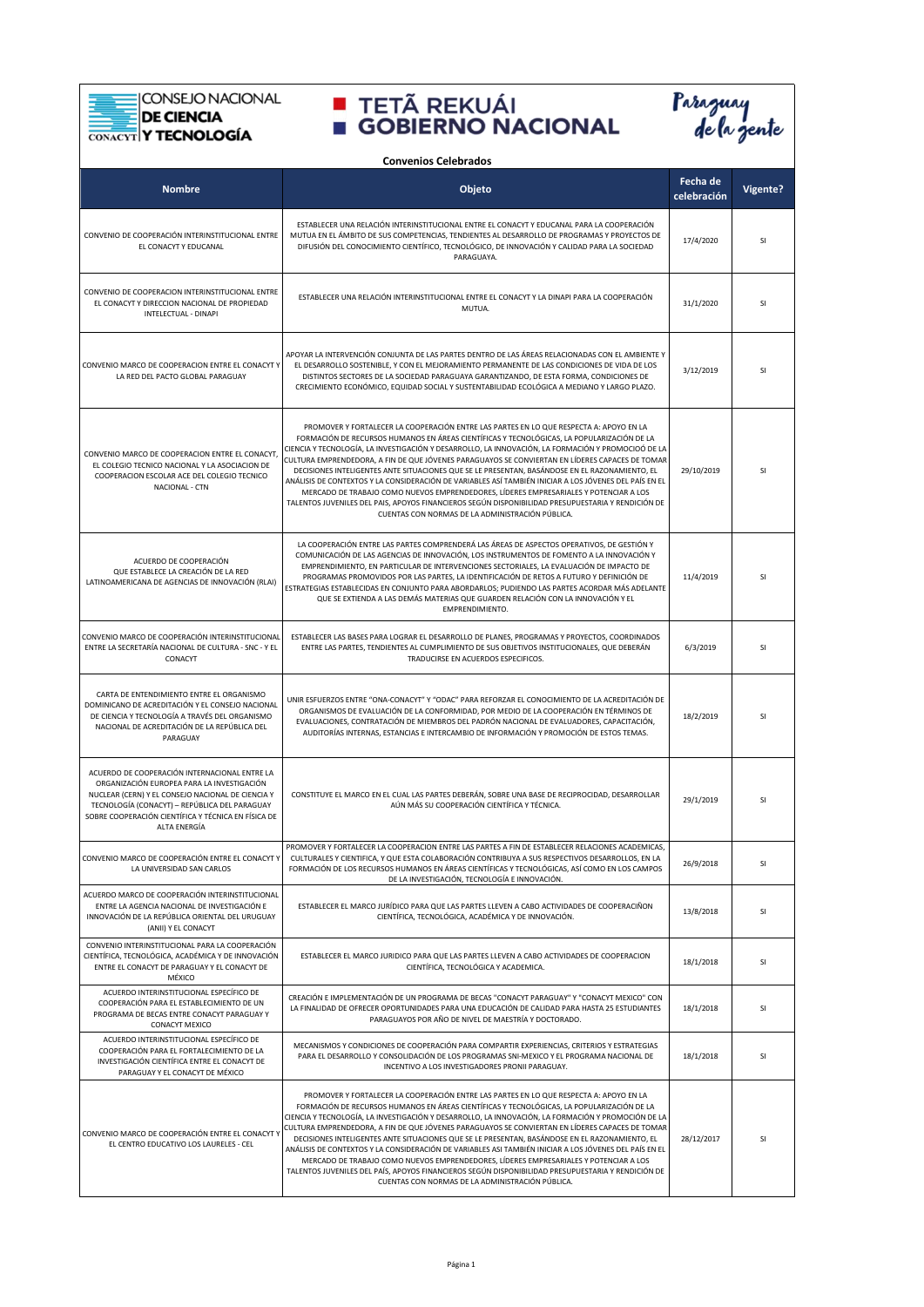**CONSEJO NACIONAL** 

DE CIENCIA

Ē



| <b>Convenios Celebrados</b>                                                                                                                                                                                                                                              |                                                                                                                                                                                                                                                                                                                                                                                                                                                                                                                                                                                                                                                                                                                                                                                                                                                               |                         |          |
|--------------------------------------------------------------------------------------------------------------------------------------------------------------------------------------------------------------------------------------------------------------------------|---------------------------------------------------------------------------------------------------------------------------------------------------------------------------------------------------------------------------------------------------------------------------------------------------------------------------------------------------------------------------------------------------------------------------------------------------------------------------------------------------------------------------------------------------------------------------------------------------------------------------------------------------------------------------------------------------------------------------------------------------------------------------------------------------------------------------------------------------------------|-------------------------|----------|
| <b>Nombre</b>                                                                                                                                                                                                                                                            | Objeto                                                                                                                                                                                                                                                                                                                                                                                                                                                                                                                                                                                                                                                                                                                                                                                                                                                        | Fecha de<br>celebración | Vigente? |
| CONVENIO DE COOPERACIÓN INTERINSTITUCIONAL ENTRE<br>EL CONACYT Y EDUCANAL                                                                                                                                                                                                | ESTABLECER UNA RELACIÓN INTERINSTITUCIONAL ENTRE EL CONACYT Y EDUCANAL PARA LA COOPERACIÓN<br>MUTUA EN EL ÁMBITO DE SUS COMPETENCIAS, TENDIENTES AL DESARROLLO DE PROGRAMAS Y PROYECTOS DE<br>DIFUSIÓN DEL CONOCIMIENTO CIENTÍFICO, TECNOLÓGICO, DE INNOVACIÓN Y CALIDAD PARA LA SOCIEDAD<br>PARAGUAYA.                                                                                                                                                                                                                                                                                                                                                                                                                                                                                                                                                       | 17/4/2020               | SI       |
| CONVENIO DE COOPERACION INTERINSTITUCIONAL ENTRE<br>EL CONACYT Y DIRECCION NACIONAL DE PROPIEDAD<br>INTELECTUAL - DINAPI                                                                                                                                                 | ESTABLECER UNA RELACIÓN INTERINSTITUCIONAL ENTRE EL CONACYT Y LA DINAPI PARA LA COOPERACIÓN<br>MUTUA.                                                                                                                                                                                                                                                                                                                                                                                                                                                                                                                                                                                                                                                                                                                                                         | 31/1/2020               | SI       |
| CONVENIO MARCO DE COOPERACION ENTRE EL CONACYT Y<br>LA RED DEL PACTO GLOBAL PARAGUAY                                                                                                                                                                                     | APOYAR LA INTERVENCIÓN CONJUNTA DE LAS PARTES DENTRO DE LAS ÁREAS RELACIONADAS CON EL AMBIENTE Y<br>EL DESARROLLO SOSTENIBLE, Y CON EL MEJORAMIENTO PERMANENTE DE LAS CONDICIONES DE VIDA DE LOS<br>DISTINTOS SECTORES DE LA SOCIEDAD PARAGUAYA GARANTIZANDO, DE ESTA FORMA, CONDICIONES DE<br>CRECIMIENTO ECONÓMICO, EQUIDAD SOCIAL Y SUSTENTABILIDAD ECOLÓGICA A MEDIANO Y LARGO PLAZO.                                                                                                                                                                                                                                                                                                                                                                                                                                                                     | 3/12/2019               | SI       |
| CONVENIO MARCO DE COOPERACION ENTRE EL CONACYT<br>EL COLEGIO TECNICO NACIONAL Y LA ASOCIACION DE<br>COOPERACION ESCOLAR ACE DEL COLEGIO TECNICO<br>NACIONAL - CTN                                                                                                        | PROMOVER Y FORTALECER LA COOPERACIÓN ENTRE LAS PARTES EN LO QUE RESPECTA A: APOYO EN LA<br>FORMACIÓN DE RECURSOS HUMANOS EN ÁREAS CIENTÍFICAS Y TECNOLÓGICAS, LA POPULARIZACIÓN DE LA<br>CIENCIA Y TECNOLOGÍA, LA INVESTIGACIÓN Y DESARROLLO, LA INNOVACIÓN, LA FORMACIÓN Y PROMOCIOÓ DE LA<br>CULTURA EMPRENDEDORA, A FIN DE QUE JÓVENES PARAGUAYOS SE CONVIERTAN EN LÍDERES CAPACES DE TOMAR<br>DECISIONES INTELIGENTES ANTE SITUACIONES QUE SE LE PRESENTAN, BASÁNDOSE EN EL RAZONAMIENTO, EL<br>ANÁLISIS DE CONTEXTOS Y LA CONSIDERACIÓN DE VARIABLES ASÍ TAMBIÉN INICIAR A LOS JÓVENES DEL PAÍS EN EL<br>MERCADO DE TRABAJO COMO NUEVOS EMPRENDEDORES. LÍDERES EMPRESARIALES Y POTENCIAR A LOS<br>TALENTOS JUVENILES DEL PAIS, APOYOS FINANCIEROS SEGÚN DISPONIBILIDAD PRESUPUESTARIA Y RENDICIÓN DE<br>CUENTAS CON NORMAS DE LA ADMINISTRACIÓN PÚBLICA. | 29/10/2019              | SI       |
| ACUERDO DE COOPERACIÓN<br>QUE ESTABLECE LA CREACIÓN DE LA RED<br>LATINOAMERICANA DE AGENCIAS DE INNOVACIÓN (RLAI)                                                                                                                                                        | LA COOPERACIÓN ENTRE LAS PARTES COMPRENDERÁ LAS ÁREAS DE ASPECTOS OPERATIVOS, DE GESTIÓN Y<br>COMUNICACIÓN DE LAS AGENCIAS DE INNOVACIÓN, LOS INSTRUMENTOS DE FOMENTO A LA INNOVACIÓN Y<br>EMPRENDIMIENTO, EN PARTICULAR DE INTERVENCIONES SECTORIALES, LA EVALUACIÓN DE IMPACTO DE<br>PROGRAMAS PROMOVIDOS POR LAS PARTES, LA IDENTIFICACIÓN DE RETOS A FUTURO Y DEFINICIÓN DE<br>ESTRATEGIAS ESTABLECIDAS EN CONJUNTO PARA ABORDARLOS; PUDIENDO LAS PARTES ACORDAR MÁS ADELANTE<br>QUE SE EXTIENDA A LAS DEMÁS MATERIAS QUE GUARDEN RELACIÓN CON LA INNOVACIÓN Y EL<br>EMPRENDIMIENTO.                                                                                                                                                                                                                                                                      | 11/4/2019               | SI       |
| CONVENIO MARCO DE COOPERACIÓN INTERINSTITUCIONAL<br>ENTRE LA SECRETARÍA NACIONAL DE CULTURA - SNC - Y EL<br>CONACYT                                                                                                                                                      | ESTABLECER LAS BASES PARA LOGRAR EL DESARROLLO DE PLANES, PROGRAMAS Y PROYECTOS, COORDINADOS<br>ENTRE LAS PARTES, TENDIENTES AL CUMPLIMIENTO DE SUS OBJETIVOS INSTITUCIONALES, QUE DEBERÁN<br>TRADUCIRSE EN ACUERDOS ESPECIFICOS.                                                                                                                                                                                                                                                                                                                                                                                                                                                                                                                                                                                                                             | 6/3/2019                | SI       |
| CARTA DE ENTENDIMIENTO ENTRE EL ORGANISMO<br>DOMINICANO DE ACREDITACIÓN Y EL CONSEJO NACIONAL<br>DE CIENCIA Y TECNOLOGÍA A TRAVÉS DEL ORGANISMO<br>NACIONAL DE ACREDITACIÓN DE LA REPÚBLICA DEL<br>PARAGUAY                                                              | UNIR ESFUERZOS ENTRE "ONA-CONACYT" Y "ODAC" PARA REFORZAR EL CONOCIMIENTO DE LA ACREDITACIÓN DE<br>ORGANISMOS DE EVALUACIÓN DE LA CONFORMIDAD, POR MEDIO DE LA COOPERACIÓN EN TÉRMINOS DE<br>EVALUACIONES, CONTRATACIÓN DE MIEMBROS DEL PADRÓN NACIONAL DE EVALUADORES, CAPACITACIÓN,<br>AUDITORÍAS INTERNAS, ESTANCIAS E INTERCAMBIO DE INFORMACIÓN Y PROMOCIÓN DE ESTOS TEMAS.                                                                                                                                                                                                                                                                                                                                                                                                                                                                              | 18/2/2019               | SI       |
| ACUERDO DE COOPERACIÓN INTERNACIONAL ENTRE LA<br>ORGANIZACIÓN EUROPEA PARA LA INVESTIGACIÓN<br>NUCLEAR (CERN) Y EL CONSEJO NACIONAL DE CIENCIA Y<br>TECNOLOGÍA (CONACYT) - REPÚBLICA DEL PARAGUAY<br>SOBRE COOPERACIÓN CIENTÍFICA Y TÉCNICA EN FÍSICA DE<br>ALTA ENERGÍA | CONSTITUYE EL MARCO EN EL CUAL LAS PARTES DEBERÁN, SOBRE UNA BASE DE RECIPROCIDAD, DESARROLLAR<br>AÚN MÁS SU COOPERACIÓN CIENTÍFICA Y TÉCNICA.                                                                                                                                                                                                                                                                                                                                                                                                                                                                                                                                                                                                                                                                                                                | 29/1/2019               | SI       |
| CONVENIO MARCO DE COOPERACIÓN ENTRE EL CONACYT Y<br>LA UNIVERSIDAD SAN CARLOS                                                                                                                                                                                            | PROMOVER Y FORTALECER LA COOPERACION ENTRE LAS PARTES A FIN DE ESTABLECER RELACIONES ACADEMICAS,<br>CULTURALES Y CIENTIFICA, Y QUE ESTA COLABORACIÓN CONTRIBUYA A SUS RESPECTIVOS DESARROLLOS, EN LA<br>FORMACIÓN DE LOS RECURSOS HUMANOS EN ÁREAS CIENTÍFICAS Y TECNOLÓGICAS, ASÍ COMO EN LOS CAMPOS<br>DE LA INVESTIGACIÓN, TECNOLOGÍA E INNOVACIÓN.                                                                                                                                                                                                                                                                                                                                                                                                                                                                                                        | 26/9/2018               | SI       |
| ACUERDO MARCO DE COOPERACIÓN INTERINSTITUCIONAL<br>ENTRE LA AGENCIA NACIONAL DE INVESTIGACIÓN E<br>INNOVACIÓN DE LA REPÚBLICA ORIENTAL DEL URUGUAY<br>(ANII) Y EL CONACYT                                                                                                | ESTABLECER EL MARCO JURÍDICO PARA QUE LAS PARTES LLEVEN A CABO ACTIVIDADES DE COOPERACIÑON<br>CIENTÍFICA, TECNOLÓGICA, ACADÉMICA Y DE INNOVACIÓN.                                                                                                                                                                                                                                                                                                                                                                                                                                                                                                                                                                                                                                                                                                             | 13/8/2018               | SI       |
| CONVENIO INTERINSTITUCIONAL PARA LA COOPERACIÓN<br>CIENTÍFICA, TECNOLÓGICA, ACADÉMICA Y DE INNOVACIÓN<br>ENTRE EL CONACYT DE PARAGUAY Y EL CONACYT DE<br>MÉXICO                                                                                                          | ESTABLECER EL MARCO JURIDICO PARA QUE LAS PARTES LLEVEN A CABO ACTIVIDADES DE COOPERACION<br>CIENTÍFICA, TECNOLÓGICA Y ACADEMICA.                                                                                                                                                                                                                                                                                                                                                                                                                                                                                                                                                                                                                                                                                                                             | 18/1/2018               | SI       |
| ACUERDO INTERINSTITUCIONAL ESPECÍFICO DE<br>COOPERACIÓN PARA EL ESTABLECIMIENTO DE UN<br>PROGRAMA DE BECAS ENTRE CONACYT PARAGUAY Y<br>CONACYT MEXICO                                                                                                                    | CREACIÓN E IMPLEMENTACIÓN DE UN PROGRAMA DE BECAS "CONACYT PARAGUAY" Y "CONACYT MEXICO" CON<br>LA FINALIDAD DE OFRECER OPORTUNIDADES PARA UNA EDUCACIÓN DE CALIDAD PARA HASTA 25 ESTUDIANTES<br>PARAGUAYOS POR AÑO DE NIVEL DE MAESTRÍA Y DOCTORADO.                                                                                                                                                                                                                                                                                                                                                                                                                                                                                                                                                                                                          | 18/1/2018               | SI       |
| ACUERDO INTERINSTITUCIONAL ESPECÍFICO DE<br>COOPERACIÓN PARA EL FORTALECIMIENTO DE LA<br>INVESTIGACIÓN CIENTÍFICA ENTRE EL CONACYT DE<br>PARAGUAY Y EL CONACYT DE MÉXICO                                                                                                 | MECANISMOS Y CONDICIONES DE COOPERACIÓN PARA COMPARTIR EXPERIENCIAS, CRITERIOS Y ESTRATEGIAS<br>PARA EL DESARROLLO Y CONSOLIDACIÓN DE LOS PROGRAMAS SNI-MEXICO Y EL PROGRAMA NACIONAL DE<br>INCENTIVO A LOS INVESTIGADORES PRONII PARAGUAY.                                                                                                                                                                                                                                                                                                                                                                                                                                                                                                                                                                                                                   | 18/1/2018               | SI       |
| CONVENIO MARCO DE COOPERACIÓN ENTRE EL CONACYT Y<br>EL CENTRO EDUCATIVO LOS LAURELES - CEL                                                                                                                                                                               | PROMOVER Y FORTALECER LA COOPERACIÓN ENTRE LAS PARTES EN LO QUE RESPECTA A: APOYO EN LA<br>FORMACIÓN DE RECURSOS HUMANOS EN ÁREAS CIENTÍFICAS Y TECNOLÓGICAS, LA POPULARIZACIÓN DE LA<br>CIENCIA Y TECNOLOGÍA, LA INVESTIGACIÓN Y DESARROLLO, LA INNOVACIÓN, LA FORMACIÓN Y PROMOCIÓN DE LA<br>CULTURA EMPRENDEDORA, A FIN DE QUE JÓVENES PARAGUAYOS SE CONVIERTAN EN LÍDERES CAPACES DE TOMAR<br>DECISIONES INTELIGENTES ANTE SITUACIONES QUE SE LE PRESENTAN, BASÁNDOSE EN EL RAZONAMIENTO, EL<br>ANÁLISIS DE CONTEXTOS Y LA CONSIDERACIÓN DE VARIABLES ASI TAMBIÉN INICIAR A LOS JÓVENES DEL PAÍS EN EL<br>MERCADO DE TRABAJO COMO NUEVOS EMPRENDEDORES, LÍDERES EMPRESARIALES Y POTENCIAR A LOS<br>TALENTOS JUVENILES DEL PAÍS, APOYOS FINANCIEROS SEGÚN DISPONIBILIDAD PRESUPUESTARIA Y RENDICIÓN DE<br>CUENTAS CON NORMAS DE LA ADMINISTRACIÓN PÚBLICA. | 28/12/2017              | SI       |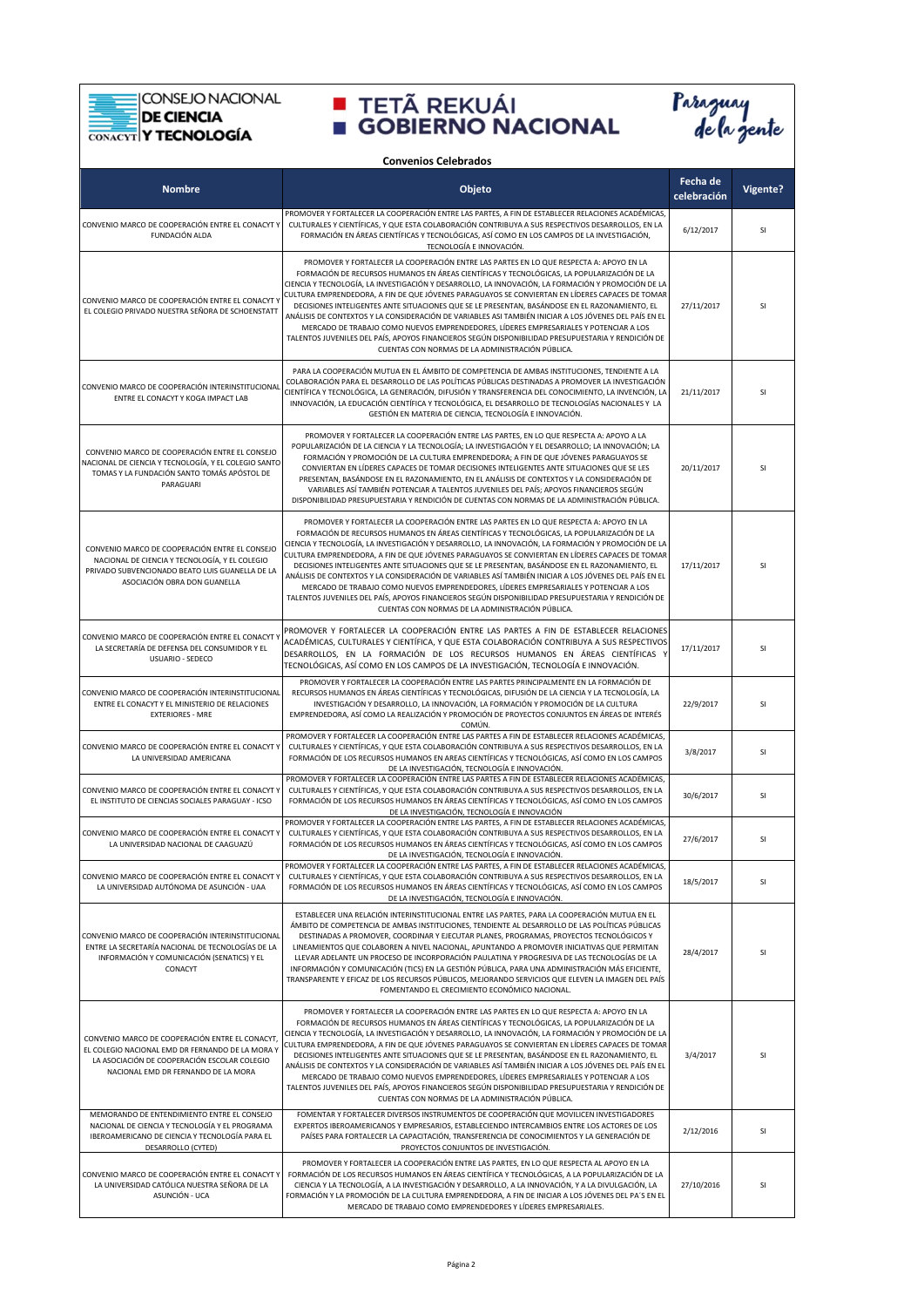**CONSEJO NACIONAL** ⋿

#### DE CIENCIA

Ē



| <b>Convenios Celebrados</b>                                                                                                                                                               |                                                                                                                                                                                                                                                                                                                                                                                                                                                                                                                                                                                                                                                                                                                                                                                                                                                               |                         |                 |
|-------------------------------------------------------------------------------------------------------------------------------------------------------------------------------------------|---------------------------------------------------------------------------------------------------------------------------------------------------------------------------------------------------------------------------------------------------------------------------------------------------------------------------------------------------------------------------------------------------------------------------------------------------------------------------------------------------------------------------------------------------------------------------------------------------------------------------------------------------------------------------------------------------------------------------------------------------------------------------------------------------------------------------------------------------------------|-------------------------|-----------------|
| <b>Nombre</b>                                                                                                                                                                             | Objeto                                                                                                                                                                                                                                                                                                                                                                                                                                                                                                                                                                                                                                                                                                                                                                                                                                                        | Fecha de<br>celebración | <b>Vigente?</b> |
| CONVENIO MARCO DE COOPERACIÓN ENTRE EL CONACYT Y<br>FUNDACIÓN ALDA                                                                                                                        | PROMOVER Y FORTALECER LA COOPERACIÓN ENTRE LAS PARTES, A FIN DE ESTABLECER RELACIONES ACADÉMICAS,<br>CULTURALES Y CIENTÍFICAS, Y QUE ESTA COLABORACIÓN CONTRIBUYA A SUS RESPECTIVOS DESARROLLOS, EN LA<br>FORMACIÓN EN ÁREAS CIENTÍFICAS Y TECNOLÓGICAS, ASÍ COMO EN LOS CAMPOS DE LA INVESTIGACIÓN,<br>TECNOLOGÍA E INNOVACIÓN.                                                                                                                                                                                                                                                                                                                                                                                                                                                                                                                              | 6/12/2017               | SI              |
| CONVENIO MARCO DE COOPERACIÓN ENTRE EL CONACYT Y<br>EL COLEGIO PRIVADO NUESTRA SEÑORA DE SCHOENSTATT                                                                                      | PROMOVER Y FORTALECER LA COOPERACIÓN ENTRE LAS PARTES EN LO QUE RESPECTA A: APOYO EN LA<br>FORMACIÓN DE RECURSOS HUMANOS EN ÁREAS CIENTÍFICAS Y TECNOLÓGICAS, LA POPULARIZACIÓN DE LA<br>CIENCIA Y TECNOLOGÍA, LA INVESTIGACIÓN Y DESARROLLO, LA INNOVACIÓN, LA FORMACIÓN Y PROMOCIÓN DE LA<br>CULTURA EMPRENDEDORA, A FIN DE QUE JÓVENES PARAGUAYOS SE CONVIERTAN EN LÍDERES CAPACES DE TOMAR<br>DECISIONES INTELIGENTES ANTE SITUACIONES QUE SE LE PRESENTAN, BASÁNDOSE EN EL RAZONAMIENTO, EL<br>ANÁLISIS DE CONTEXTOS Y LA CONSIDERACIÓN DE VARIABLES ASI TAMBIÉN INICIAR A LOS JÓVENES DEL PAÍS EN EL<br>MERCADO DE TRABAJO COMO NUEVOS EMPRENDEDORES, LÍDERES EMPRESARIALES Y POTENCIAR A LOS<br>TALENTOS JUVENILES DEL PAÍS, APOYOS FINANCIEROS SEGÚN DISPONIBILIDAD PRESUPUESTARIA Y RENDICIÓN DE<br>CUENTAS CON NORMAS DE LA ADMINISTRACIÓN PÚBLICA. | 27/11/2017              | SI              |
| CONVENIO MARCO DE COOPERACIÓN INTERINSTITUCIONAL<br>ENTRE EL CONACYT Y KOGA IMPACT LAB                                                                                                    | PARA LA COOPERACIÓN MUTUA EN EL ÁMBITO DE COMPETENCIA DE AMBAS INSTITUCIONES, TENDIENTE A LA<br>COLABORACIÓN PARA EL DESARROLLO DE LAS POLÍTICAS PÚBLICAS DESTINADAS A PROMOVER LA INVESTIGACIÓN<br>CIENTÍFICA Y TECNOLÓGICA, LA GENERACIÓN, DIFUSIÓN Y TRANSFERENCIA DEL CONOCIMIENTO, LA INVENCIÓN, LA<br>INNOVACIÓN, LA EDUCACIÓN CIENTÍFICA Y TECNOLÓGICA, EL DESARROLLO DE TECNOLOGÍAS NACIONALES Y LA<br>GESTIÓN EN MATERIA DE CIENCIA, TECNOLOGÍA E INNOVACIÓN.                                                                                                                                                                                                                                                                                                                                                                                        | 21/11/2017              | SI              |
| CONVENIO MARCO DE COOPERACIÓN ENTRE EL CONSEJO<br>NACIONAL DE CIENCIA Y TECNOLOGÍA, Y EL COLEGIO SANTO<br>TOMAS Y LA FUNDACIÓN SANTO TOMÁS APÓSTOL DE<br>PARAGUARI                        | PROMOVER Y FORTALECER LA COOPERACIÓN ENTRE LAS PARTES, EN LO QUE RESPECTA A: APOYO A LA<br>POPULARIZACIÓN DE LA CIENCIA Y LA TECNOLOGÍA; LA INVESTIGACIÓN Y EL DESARROLLO; LA INNOVACIÓN; LA<br>FORMACIÓN Y PROMOCIÓN DE LA CULTURA EMPRENDEDORA; A FIN DE QUE JÓVENES PARAGUAYOS SE<br>CONVIERTAN EN LÍDERES CAPACES DE TOMAR DECISIONES INTELIGENTES ANTE SITUACIONES QUE SE LES<br>PRESENTAN, BASÁNDOSE EN EL RAZONAMIENTO, EN EL ANÁLISIS DE CONTEXTOS Y LA CONSIDERACIÓN DE<br>VARIABLES ASÍ TAMBIÉN POTENCIAR A TALENTOS JUVENILES DEL PAÍS; APOYOS FINANCIEROS SEGÚN<br>DISPONIBILIDAD PRESUPUESTARIA Y RENDICIÓN DE CUENTAS CON NORMAS DE LA ADMINISTRACIÓN PÚBLICA.                                                                                                                                                                                  | 20/11/2017              | SI              |
| CONVENIO MARCO DE COOPERACIÓN ENTRE EL CONSEJO<br>NACIONAL DE CIENCIA Y TECNOLOGÍA, Y EL COLEGIO<br>PRIVADO SUBVENCIONADO BEATO LUIS GUANELLA DE LA<br>ASOCIACIÓN OBRA DON GUANELLA       | PROMOVER Y FORTALECER LA COOPERACIÓN ENTRE LAS PARTES EN LO QUE RESPECTA A: APOYO EN LA<br>FORMACIÓN DE RECURSOS HUMANOS EN ÁREAS CIENTÍFICAS Y TECNOLÓGICAS, LA POPULARIZACIÓN DE LA<br>CIENCIA Y TECNOLOGÍA, LA INVESTIGACIÓN Y DESARROLLO, LA INNOVACIÓN, LA FORMACIÓN Y PROMOCIÓN DE LA<br>CULTURA EMPRENDEDORA, A FIN DE QUE JÓVENES PARAGUAYOS SE CONVIERTAN EN LÍDERES CAPACES DE TOMAR<br>DECISIONES INTELIGENTES ANTE SITUACIONES QUE SE LE PRESENTAN, BASÁNDOSE EN EL RAZONAMIENTO, EL<br>ANÁLISIS DE CONTEXTOS Y LA CONSIDERACIÓN DE VARIABLES ASÍ TAMBIÉN INICIAR A LOS JÓVENES DEL PAÍS EN EL<br>MERCADO DE TRABAJO COMO NUEVOS EMPRENDEDORES, LÍDERES EMPRESARIALES Y POTENCIAR A LOS<br>TALENTOS JUVENILES DEL PAÍS, APOYOS FINANCIEROS SEGÚN DISPONIBILIDAD PRESUPUESTARIA Y RENDICIÓN DE<br>CUENTAS CON NORMAS DE LA ADMINISTRACIÓN PÚBLICA. | 17/11/2017              | SI              |
| CONVENIO MARCO DE COOPERACIÓN ENTRE EL CONACYT Y<br>LA SECRETARÍA DE DEFENSA DEL CONSUMIDOR Y EL<br>USUARIO - SEDECO                                                                      | PROMOVER Y FORTALECER LA COOPERACIÓN ENTRE LAS PARTES A FIN DE ESTABLECER RELACIONES<br>ACADÉMICAS, CULTURALES Y CIENTÍFICA, Y QUE ESTA COLABORACIÓN CONTRIBUYA A SUS RESPECTIVOS<br>DESARROLLOS, EN LA FORMACIÓN DE LOS RECURSOS HUMANOS EN ÁREAS CIENTÍFICAS Y<br>TECNOLÓGICAS, ASÍ COMO EN LOS CAMPOS DE LA INVESTIGACIÓN, TECNOLOGÍA E INNOVACIÓN.                                                                                                                                                                                                                                                                                                                                                                                                                                                                                                        | 17/11/2017              | SI              |
| CONVENIO MARCO DE COOPERACIÓN INTERINSTITUCIONAL<br>ENTRE EL CONACYT Y EL MINISTERIO DE RELACIONES<br><b>EXTERIORES - MRE</b>                                                             | PROMOVER Y FORTALECER LA COOPERACIÓN ENTRE LAS PARTES PRINCIPALMENTE EN LA FORMACIÓN DE<br>RECURSOS HUMANOS EN ÁREAS CIENTÍFICAS Y TECNOLÓGICAS, DIFUSIÓN DE LA CIENCIA Y LA TECNOLOGÍA, LA<br>INVESTIGACIÓN Y DESARROLLO, LA INNOVACIÓN, LA FORMACIÓN Y PROMOCIÓN DE LA CULTURA<br>EMPRENDEDORA, ASÍ COMO LA REALIZACIÓN Y PROMOCIÓN DE PROYECTOS CONJUNTOS EN ÁREAS DE INTERÉS<br>COMÚN.                                                                                                                                                                                                                                                                                                                                                                                                                                                                    | 22/9/2017               | SI              |
| CONVENIO MARCO DE COOPERACIÓN ENTRE EL CONACYT Y<br>LA UNIVERSIDAD AMERICANA                                                                                                              | PROMOVER Y FORTALECER LA COOPERACIÓN ENTRE LAS PARTES A FIN DE ESTABLECER RELACIONES ACADÉMICAS<br>CULTURALES Y CIENTÍFICAS, Y QUE ESTA COLABORACIÓN CONTRIBUYA A SUS RESPECTIVOS DESARROLLOS, EN LA<br>FORMACIÓN DE LOS RECURSOS HUMANOS EN AREAS CIENTÍFICAS Y TECNOLÓGICAS, ASÍ COMO EN LOS CAMPOS<br>DE LA INVESTIGACIÓN, TECNOLOGÍA E INNOVACIÓN.                                                                                                                                                                                                                                                                                                                                                                                                                                                                                                        | 3/8/2017                | SI              |
| CONVENIO MARCO DE COOPERACIÓN ENTRE EL CONACYT<br>EL INSTITUTO DE CIENCIAS SOCIALES PARAGUAY - ICSO                                                                                       | PROMOVER Y FORTALECER LA COOPERACIÓN ENTRE LAS PARTES A FIN DE ESTABLECER RELACIONES ACADÉMICAS,<br>CULTURALES Y CIENTÍFICAS, Y QUE ESTA COLABORACIÓN CONTRIBUYA A SUS RESPECTIVOS DESARROLLOS, EN LA<br>FORMACIÓN DE LOS RECURSOS HUMANOS EN ÁREAS CIENTÍFICAS Y TECNOLÓGICAS, ASÍ COMO EN LOS CAMPOS<br>DE LA INVESTIGACIÓN, TECNOLOGÍA E INNOVACIÓN                                                                                                                                                                                                                                                                                                                                                                                                                                                                                                        | 30/6/2017               | SI              |
| CONVENIO MARCO DE COOPERACIÓN ENTRE EL CONACYT Y<br>LA UNIVERSIDAD NACIONAL DE CAAGUAZÚ                                                                                                   | PROMOVER Y FORTALECER LA COOPERACIÓN ENTRE LAS PARTES, A FIN DE ESTABLECER RELACIONES ACADÉMICAS<br>CULTURALES Y CIENTÍFICAS, Y QUE ESTA COLABORACIÓN CONTRIBUYA A SUS RESPECTIVOS DESARROLLOS, EN LA<br>FORMACIÓN DE LOS RECURSOS HUMANOS EN ÁREAS CIENTÍFICAS Y TECNOLÓGICAS, ASÍ COMO EN LOS CAMPOS<br>DE LA INVESTIGACIÓN, TECNOLOGÍA E INNOVACIÓN.                                                                                                                                                                                                                                                                                                                                                                                                                                                                                                       | 27/6/2017               | SI              |
| CONVENIO MARCO DE COOPERACIÓN ENTRE EL CONACYT Y<br>LA UNIVERSIDAD AUTÓNOMA DE ASUNCIÓN - UAA                                                                                             | PROMOVER Y FORTALECER LA COOPERACIÓN ENTRE LAS PARTES, A FIN DE ESTABLECER RELACIONES ACADÉMICAS,<br>CULTURALES Y CIENTÍFICAS, Y QUE ESTA COLABORACIÓN CONTRIBUYA A SUS RESPECTIVOS DESARROLLOS, EN LA<br>FORMACIÓN DE LOS RECURSOS HUMANOS EN ÁREAS CIENTÍFICAS Y TECNOLÓGICAS, ASÍ COMO EN LOS CAMPOS<br>DE LA INVESTIGACIÓN, TECNOLOGÍA E INNOVACIÓN.                                                                                                                                                                                                                                                                                                                                                                                                                                                                                                      | 18/5/2017               | SI              |
| CONVENIO MARCO DE COOPERACIÓN INTERINSTITUCIONAL<br>ENTRE LA SECRETARÍA NACIONAL DE TECNOLOGÍAS DE LA<br>INFORMACIÓN Y COMUNICACIÓN (SENATICS) Y EL<br>CONACYT                            | ESTABLECER UNA RELACIÓN INTERINSTITUCIONAL ENTRE LAS PARTES, PARA LA COOPERACIÓN MUTUA EN EL<br>ÁMBITO DE COMPETENCIA DE AMBAS INSTITUCIONES, TENDIENTE AL DESARROLLO DE LAS POLÍTICAS PÚBLICAS<br>DESTINADAS A PROMOVER, COORDINAR Y EJECUTAR PLANES, PROGRAMAS, PROYECTOS TECNOLÓGICOS Y<br>LINEAMIENTOS QUE COLABOREN A NIVEL NACIONAL, APUNTANDO A PROMOVER INICIATIVAS QUE PERMITAN<br>LLEVAR ADELANTE UN PROCESO DE INCORPORACIÓN PAULATINA Y PROGRESIVA DE LAS TECNOLOGÍAS DE LA<br>INFORMACIÓN Y COMUNICACIÓN (TICS) EN LA GESTIÓN PÚBLICA, PARA UNA ADMINISTRACIÓN MÁS EFICIENTE,<br>TRANSPARENTE Y EFICAZ DE LOS RECURSOS PÚBLICOS, MEJORANDO SERVICIOS QUE ELEVEN LA IMAGEN DEL PAÍS<br>FOMENTANDO EL CRECIMIENTO ECONÓMICO NACIONAL.                                                                                                              | 28/4/2017               | SI              |
| CONVENIO MARCO DE COOPERACIÓN ENTRE EL CONACYT<br>EL COLEGIO NACIONAL EMD DR FERNANDO DE LA MORA Y<br>LA ASOCIACIÓN DE COOPERACIÓN ESCOLAR COLEGIO<br>NACIONAL EMD DR FERNANDO DE LA MORA | PROMOVER Y FORTALECER LA COOPERACIÓN ENTRE LAS PARTES EN LO QUE RESPECTA A: APOYO EN LA<br>FORMACIÓN DE RECURSOS HUMANOS EN ÁREAS CIENTÍFICAS Y TECNOLÓGICAS, LA POPULARIZACIÓN DE LA<br>CIENCIA Y TECNOLOGÍA, LA INVESTIGACIÓN Y DESARROLLO, LA INNOVACIÓN, LA FORMACIÓN Y PROMOCIÓN DE LA<br>CULTURA EMPRENDEDORA, A FIN DE QUE JÓVENES PARAGUAYOS SE CONVIERTAN EN LÍDERES CAPACES DE TOMAR<br>DECISIONES INTELIGENTES ANTE SITUACIONES QUE SE LE PRESENTAN, BASÁNDOSE EN EL RAZONAMIENTO, EL<br>ANÁLISIS DE CONTEXTOS Y LA CONSIDERACIÓN DE VARIABLES ASÍ TAMBIÉN INICIAR A LOS JÓVENES DEL PAÍS EN EL<br>MERCADO DE TRABAJO COMO NUEVOS EMPRENDEDORES, LÍDERES EMPRESARIALES Y POTENCIAR A LOS<br>TALENTOS JUVENILES DEL PAÍS, APOYOS FINANCIEROS SEGÚN DISPONIBILIDAD PRESUPUESTARIA Y RENDICIÓN DE<br>CUENTAS CON NORMAS DE LA ADMINISTRACIÓN PÚBLICA. | 3/4/2017                | SI              |
| MEMORANDO DE ENTENDIMIENTO ENTRE EL CONSEJO<br>NACIONAL DE CIENCIA Y TECNOLOGÍA Y EL PROGRAMA<br>IBEROAMERICANO DE CIENCIA Y TECNOLOGÍA PARA EL<br>DESARROLLO (CYTED)                     | FOMENTAR Y FORTALECER DIVERSOS INSTRUMENTOS DE COOPERACIÓN QUE MOVILICEN INVESTIGADORES<br>EXPERTOS IBEROAMERICANOS Y EMPRESARIOS, ESTABLECIENDO INTERCAMBIOS ENTRE LOS ACTORES DE LOS<br>PAÍSES PARA FORTALECER LA CAPACITACIÓN, TRANSFERENCIA DE CONOCIMIENTOS Y LA GENERACIÓN DE<br>PROYECTOS CONJUNTOS DE INVESTIGACIÓN.                                                                                                                                                                                                                                                                                                                                                                                                                                                                                                                                  | 2/12/2016               | SI              |
| CONVENIO MARCO DE COOPERACIÓN ENTRE EL CONACYT Y<br>LA UNIVERSIDAD CATÓLICA NUESTRA SEÑORA DE LA<br>ASUNCIÓN - UCA                                                                        | PROMOVER Y FORTALECER LA COOPERACIÓN ENTRE LAS PARTES, EN LO QUE RESPECTA AL APOYO EN LA<br>FORMACIÓN DE LOS RECURSOS HUMANOS EN ÁREAS CIENTÍFICA Y TECNOLÓGICAS, A LA POPULARIZACIÓN DE LA<br>CIENCIA Y LA TECNOLOGÍA, A LA INVESTIGACIÓN Y DESARROLLO, A LA INNOVACIÓN, Y A LA DIVULGACIÓN, LA<br>FORMACIÓN Y LA PROMOCIÓN DE LA CULTURA EMPRENDEDORA, A FIN DE INICIAR A LOS JÓVENES DEL PA'S EN EL<br>MERCADO DE TRABAJO COMO EMPRENDEDORES Y LÍDERES EMPRESARIALES.                                                                                                                                                                                                                                                                                                                                                                                      | 27/10/2016              | SI              |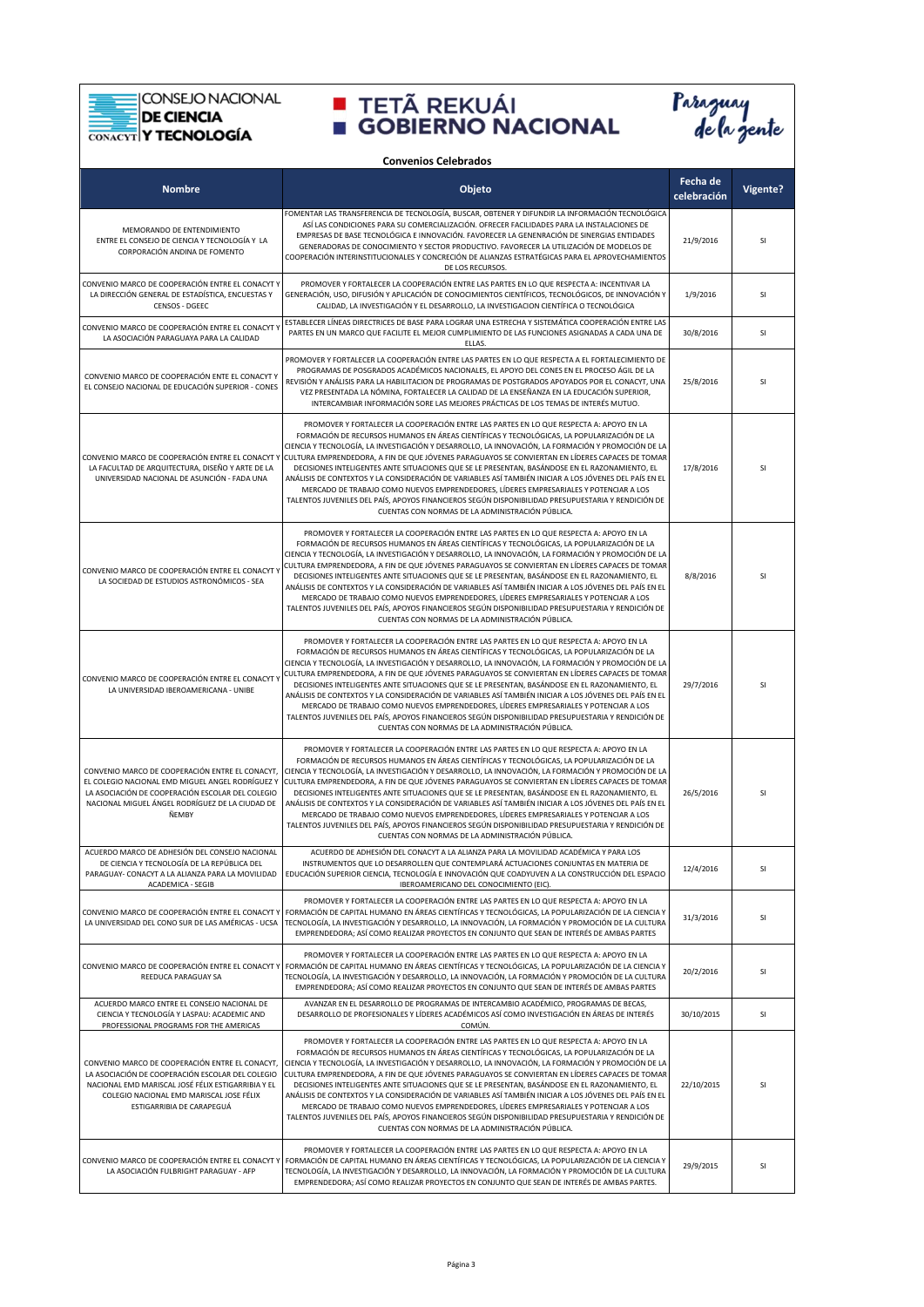**CONSEJO NACIONAL** Ξ

#### DE CIENCIA

Ē



|                                                                                                                                                                                                                                    | <b>Convenios Celebrados</b>                                                                                                                                                                                                                                                                                                                                                                                                                                                                                                                                                                                                                                                                                                                                                                                                                                   |                         |           |
|------------------------------------------------------------------------------------------------------------------------------------------------------------------------------------------------------------------------------------|---------------------------------------------------------------------------------------------------------------------------------------------------------------------------------------------------------------------------------------------------------------------------------------------------------------------------------------------------------------------------------------------------------------------------------------------------------------------------------------------------------------------------------------------------------------------------------------------------------------------------------------------------------------------------------------------------------------------------------------------------------------------------------------------------------------------------------------------------------------|-------------------------|-----------|
| <b>Nombre</b>                                                                                                                                                                                                                      | Objeto                                                                                                                                                                                                                                                                                                                                                                                                                                                                                                                                                                                                                                                                                                                                                                                                                                                        | Fecha de<br>celebración | Vigente?  |
| MEMORANDO DE ENTENDIMIENTO<br>ENTRE EL CONSEJO DE CIENCIA Y TECNOLOGÍA Y LA<br>CORPORACIÓN ANDINA DE FOMENTO                                                                                                                       | FOMENTAR LAS TRANSFERENCIA DE TECNOLOGÍA, BUSCAR, OBTENER Y DIFUNDIR LA INFORMACIÓN TECNOLÓGICA<br>ASÍ LAS CONDICIONES PARA SU COMERCIALIZACIÓN. OFRECER FACILIDADES PARA LA INSTALACIONES DE<br>EMPRESAS DE BASE TECNOLÓGICA E INNOVACIÓN. FAVORECER LA GENENRACIÓN DE SINERGIAS ENTIDADES<br>GENERADORAS DE CONOCIMIENTO Y SECTOR PRODUCTIVO. FAVORECER LA UTILIZACIÓN DE MODELOS DE<br>COOPERACIÓN INTERINSTITUCIONALES Y CONCRECIÓN DE ALIANZAS ESTRATÉGICAS PARA EL APROVECHAMIENTOS<br>DE LOS RECURSOS.                                                                                                                                                                                                                                                                                                                                                 | 21/9/2016               | SI        |
| CONVENIO MARCO DE COOPERACIÓN ENTRE EL CONACYT Y<br>LA DIRECCIÓN GENERAL DE ESTADÍSTICA, ENCUESTAS Y<br>CENSOS - DGEEC                                                                                                             | PROMOVER Y FORTALECER LA COOPERACIÓN ENTRE LAS PARTES EN LO QUE RESPECTA A: INCENTIVAR LA<br>GENERACIÓN, USO, DIFUSIÓN Y APLICACIÓN DE CONOCIMIENTOS CIENTÍFICOS, TECNOLÓGICOS, DE INNOVACIÓN Y<br>CALIDAD, LA INVESTIGACIÓN Y EL DESARROLLO, LA INVESTIGACION CIENTÍFICA O TECNOLÓGICA                                                                                                                                                                                                                                                                                                                                                                                                                                                                                                                                                                       | 1/9/2016                | SI        |
| CONVENIO MARCO DE COOPERACIÓN ENTRE EL CONACYT Y<br>LA ASOCIACIÓN PARAGUAYA PARA LA CALIDAD                                                                                                                                        | ESTABLECER LÍNEAS DIRECTRICES DE BASE PARA LOGRAR UNA ESTRECHA Y SISTEMÁTICA COOPERACIÓN ENTRE LAS<br>PARTES EN UN MARCO QUE FACILITE EL MEJOR CUMPLIMIENTO DE LAS FUNCIONES ASIGNADAS A CADA UNA DE<br>ELLAS.                                                                                                                                                                                                                                                                                                                                                                                                                                                                                                                                                                                                                                                | 30/8/2016               | SI        |
| CONVENIO MARCO DE COOPERACIÓN ENTE EL CONACYT Y<br>EL CONSEJO NACIONAL DE EDUCACIÓN SUPERIOR - CONES                                                                                                                               | PROMOVER Y FORTALECER LA COOPERACIÓN ENTRE LAS PARTES EN LO QUE RESPECTA A EL FORTALECIMIENTO DE<br>PROGRAMAS DE POSGRADOS ACADÉMICOS NACIONALES. EL APOYO DEL CONES EN EL PROCESO ÁGIL DE LA<br>REVISIÓN Y ANÁLISIS PARA LA HABILITACION DE PROGRAMAS DE POSTGRADOS APOYADOS POR EL CONACYT, UNA<br>VEZ PRESENTADA LA NÓMINA, FORTALECER LA CALIDAD DE LA ENSEÑANZA EN LA EDUCACIÓN SUPERIOR,<br>INTERCAMBIAR INFORMACIÓN SORE LAS MEJORES PRÁCTICAS DE LOS TEMAS DE INTERÉS MUTUO.                                                                                                                                                                                                                                                                                                                                                                          | 25/8/2016               | SI        |
| CONVENIO MARCO DE COOPERACIÓN ENTRE EL CONACYT Y<br>LA FACULTAD DE ARQUITECTURA, DISEÑO Y ARTE DE LA<br>UNIVERSIDAD NACIONAL DE ASUNCIÓN - FADA UNA                                                                                | PROMOVER Y FORTALECER LA COOPERACIÓN ENTRE LAS PARTES EN LO QUE RESPECTA A: APOYO EN LA<br>FORMACIÓN DE RECURSOS HUMANOS EN ÁREAS CIENTÍFICAS Y TECNOLÓGICAS, LA POPULARIZACIÓN DE LA<br>CIENCIA Y TECNOLOGÍA, LA INVESTIGACIÓN Y DESARROLLO, LA INNOVACIÓN, LA FORMACIÓN Y PROMOCIÓN DE LA<br>CULTURA EMPRENDEDORA, A FIN DE QUE JÓVENES PARAGUAYOS SE CONVIERTAN EN LÍDERES CAPACES DE TOMAR<br>DECISIONES INTELIGENTES ANTE SITUACIONES QUE SE LE PRESENTAN, BASÁNDOSE EN EL RAZONAMIENTO, EL<br>ANÁLISIS DE CONTEXTOS Y LA CONSIDERACIÓN DE VARIABLES ASÍ TAMBIÉN INICIAR A LOS JÓVENES DEL PAÍS EN EL<br>MERCADO DE TRABAJO COMO NUEVOS EMPRENDEDORES, LÍDERES EMPRESARIALES Y POTENCIAR A LOS<br>TALENTOS JUVENILES DEL PAÍS, APOYOS FINANCIEROS SEGÚN DISPONIBILIDAD PRESUPUESTARIA Y RENDICIÓN DE<br>CUENTAS CON NORMAS DE LA ADMINISTRACIÓN PÚBLICA. | 17/8/2016               | SI        |
| CONVENIO MARCO DE COOPERACIÓN ENTRE EL CONACYT Y<br>LA SOCIEDAD DE ESTUDIOS ASTRONÓMICOS - SEA                                                                                                                                     | PROMOVER Y FORTALECER LA COOPERACIÓN ENTRE LAS PARTES EN LO QUE RESPECTA A: APOYO EN LA<br>FORMACIÓN DE RECURSOS HUMANOS EN ÁREAS CIENTÍFICAS Y TECNOLÓGICAS, LA POPULARIZACIÓN DE LA<br>CIENCIA Y TECNOLOGÍA, LA INVESTIGACIÓN Y DESARROLLO, LA INNOVACIÓN, LA FORMACIÓN Y PROMOCIÓN DE LA<br>CULTURA EMPRENDEDORA, A FIN DE QUE JÓVENES PARAGUAYOS SE CONVIERTAN EN LÍDERES CAPACES DE TOMAR<br>DECISIONES INTELIGENTES ANTE SITUACIONES QUE SE LE PRESENTAN, BASÁNDOSE EN EL RAZONAMIENTO, EL<br>ANÁLISIS DE CONTEXTOS Y LA CONSIDERACIÓN DE VARIABLES ASÍ TAMBIÉN INICIAR A LOS JÓVENES DEL PAÍS EN EL<br>MERCADO DE TRABAJO COMO NUEVOS EMPRENDEDORES, LÍDERES EMPRESARIALES Y POTENCIAR A LOS<br>TALENTOS JUVENILES DEL PAÍS, APOYOS FINANCIEROS SEGÚN DISPONIBILIDAD PRESUPUESTARIA Y RENDICIÓN DE<br>CUENTAS CON NORMAS DE LA ADMINISTRACIÓN PÚBLICA. | 8/8/2016                | <b>SI</b> |
| CONVENIO MARCO DE COOPERACIÓN ENTRE EL CONACYT Y<br>LA UNIVERSIDAD IBEROAMERICANA - UNIBE                                                                                                                                          | PROMOVER Y FORTALECER LA COOPERACIÓN ENTRE LAS PARTES EN LO QUE RESPECTA A: APOYO EN LA<br>FORMACIÓN DE RECURSOS HUMANOS EN ÁREAS CIENTÍFICAS Y TECNOLÓGICAS, LA POPULARIZACIÓN DE LA<br>CIENCIA Y TECNOLOGÍA, LA INVESTIGACIÓN Y DESARROLLO, LA INNOVACIÓN, LA FORMACIÓN Y PROMOCIÓN DE LA<br>CULTURA EMPRENDEDORA, A FIN DE QUE JÓVENES PARAGUAYOS SE CONVIERTAN EN LÍDERES CAPACES DE TOMAR<br>DECISIONES INTELIGENTES ANTE SITUACIONES QUE SE LE PRESENTAN, BASÁNDOSE EN EL RAZONAMIENTO, EL<br>ANÁLISIS DE CONTEXTOS Y LA CONSIDERACIÓN DE VARIABLES ASÍ TAMBIÉN INICIAR A LOS JÓVENES DEL PAÍS EN EL<br>MERCADO DE TRABAJO COMO NUEVOS EMPRENDEDORES, LÍDERES EMPRESARIALES Y POTENCIAR A LOS<br>TALENTOS JUVENILES DEL PAÍS, APOYOS FINANCIEROS SEGÚN DISPONIBILIDAD PRESUPUESTARIA Y RENDICIÓN DE<br>CUENTAS CON NORMAS DE LA ADMINISTRACIÓN PÚBLICA. | 29/7/2016               | SI        |
| CONVENIO MARCO DE COOPERACIÓN ENTRE EL CONACYT.<br>EL COLEGIO NACIONAL EMD MIGUEL ANGEL RODRÍGUEZ Y<br>LA ASOCIACIÓN DE COOPERACIÓN ESCOLAR DEL COLEGIO<br>NACIONAL MIGUEL ÁNGEL RODRÍGUEZ DE LA CIUDAD DE<br>ÑEMBY                | PROMOVER Y FORTALECER LA COOPERACIÓN ENTRE LAS PARTES EN LO QUE RESPECTA A: APOYO EN LA<br>FORMACIÓN DE RECURSOS HUMANOS EN ÁREAS CIENTÍFICAS Y TECNOLÓGICAS, LA POPULARIZACIÓN DE LA<br>CIENCIA Y TECNOLOGÍA, LA INVESTIGACIÓN Y DESARROLLO, LA INNOVACIÓN, LA FORMACIÓN Y PROMOCIÓN DE LA<br>CULTURA EMPRENDEDORA, A FIN DE QUE JÓVENES PARAGUAYOS SE CONVIERTAN EN LÍDERES CAPACES DE TOMAR<br>DECISIONES INTELIGENTES ANTE SITUACIONES QUE SE LE PRESENTAN, BASÁNDOSE EN EL RAZONAMIENTO, EL<br>ANÁLISIS DE CONTEXTOS Y LA CONSIDERACIÓN DE VARIABLES ASÍ TAMBIÉN INICIAR A LOS JÓVENES DEL PAÍS EN EL<br>MERCADO DE TRABAJO COMO NUEVOS EMPRENDEDORES, LÍDERES EMPRESARIALES Y POTENCIAR A LOS<br>TALENTOS JUVENILES DEL PAÍS, APOYOS FINANCIEROS SEGÚN DISPONIBILIDAD PRESUPUESTARIA Y RENDICIÓN DE<br>CUENTAS CON NORMAS DE LA ADMINISTRACIÓN PÚBLICA. | 26/5/2016               | SI        |
| ACUERDO MARCO DE ADHESIÓN DEL CONSEJO NACIONAL<br>DE CIENCIA Y TECNOLOGÍA DE LA REPÚBLICA DEL<br>PARAGUAY- CONACYT A LA ALIANZA PARA LA MOVILIDAD<br>ACADEMICA - SEGIB                                                             | ACUERDO DE ADHESIÓN DEL CONACYT A LA ALIANZA PARA LA MOVILIDAD ACADÉMICA Y PARA LOS<br>INSTRUMENTOS QUE LO DESARROLLEN QUE CONTEMPLARÁ ACTUACIONES CONJUNTAS EN MATERIA DE<br>EDUCACIÓN SUPERIOR CIENCIA, TECNOLOGÍA E INNOVACIÓN QUE COADYUVEN A LA CONSTRUCCIÓN DEL ESPACIO<br>IBEROAMERICANO DEL CONOCIMIENTO (EIC).                                                                                                                                                                                                                                                                                                                                                                                                                                                                                                                                       | 12/4/2016               | SI        |
| CONVENIO MARCO DE COOPERACIÓN ENTRE EL CONACYT Y<br>LA UNIVERSIDAD DEL CONO SUR DE LAS AMÉRICAS - UCSA                                                                                                                             | PROMOVER Y FORTALECER LA COOPERACIÓN ENTRE LAS PARTES EN LO QUE RESPECTA A: APOYO EN LA<br>FORMACIÓN DE CAPITAL HUMANO EN ÁREAS CIENTÍFICAS Y TECNOLÓGICAS, LA POPULARIZACIÓN DE LA CIENCIA Y<br>TECNOLOGÍA, LA INVESTIGACIÓN Y DESARROLLO, LA INNOVACIÓN, LA FORMACIÓN Y PROMOCIÓN DE LA CULTURA<br>EMPRENDEDORA; ASÍ COMO REALIZAR PROYECTOS EN CONJUNTO QUE SEAN DE INTERÉS DE AMBAS PARTES                                                                                                                                                                                                                                                                                                                                                                                                                                                                | 31/3/2016               | SI        |
| REEDUCA PARAGUAY SA                                                                                                                                                                                                                | PROMOVER Y FORTALECER LA COOPERACIÓN ENTRE LAS PARTES EN LO QUE RESPECTA A: APOYO EN LA<br>CONVENIO MARCO DE COOPERACIÓN ENTRE EL CONACYT Y FORMACIÓN DE CAPITAL HUMANO EN ÁREAS CIENTÍFICAS Y TECNOLÓGICAS, LA POPULARIZACIÓN DE LA CIENCIA Y<br>TECNOLOGÍA, LA INVESTIGACIÓN Y DESARROLLO, LA INNOVACIÓN, LA FORMACIÓN Y PROMOCIÓN DE LA CULTURA<br>EMPRENDEDORA; ASÍ COMO REALIZAR PROYECTOS EN CONJUNTO QUE SEAN DE INTERÉS DE AMBAS PARTES                                                                                                                                                                                                                                                                                                                                                                                                               | 20/2/2016               | SI        |
| ACUERDO MARCO ENTRE EL CONSEJO NACIONAL DE<br>CIENCIA Y TECNOLOGÍA Y LASPAU: ACADEMIC AND<br>PROFESSIONAL PROGRAMS FOR THE AMERICAS                                                                                                | AVANZAR EN EL DESARROLLO DE PROGRAMAS DE INTERCAMBIO ACADÉMICO, PROGRAMAS DE BECAS,<br>DESARROLLO DE PROFESIONALES Y LÍDERES ACADÉMICOS ASÍ COMO INVESTIGACIÓN EN ÁREAS DE INTERÉS<br>COMÚN.                                                                                                                                                                                                                                                                                                                                                                                                                                                                                                                                                                                                                                                                  | 30/10/2015              | SI        |
| CONVENIO MARCO DE COOPERACIÓN ENTRE EL CONACYT,<br>LA ASOCIACIÓN DE COOPERACIÓN ESCOLAR DEL COLEGIO<br>NACIONAL EMD MARISCAL JOSÉ FÉLIX ESTIGARRIBIA Y EL<br>COLEGIO NACIONAL EMD MARISCAL JOSE FÉLIX<br>ESTIGARRIBIA DE CARAPEGUÁ | PROMOVER Y FORTALECER LA COOPERACIÓN ENTRE LAS PARTES EN LO QUE RESPECTA A: APOYO EN LA<br>FORMACIÓN DE RECURSOS HUMANOS EN ÁREAS CIENTÍFICAS Y TECNOLÓGICAS, LA POPULARIZACIÓN DE LA<br>CIENCIA Y TECNOLOGÍA, LA INVESTIGACIÓN Y DESARROLLO, LA INNOVACIÓN, LA FORMACIÓN Y PROMOCIÓN DE LA<br>CULTURA EMPRENDEDORA, A FIN DE QUE JÓVENES PARAGUAYOS SE CONVIERTAN EN LÍDERES CAPACES DE TOMAR<br>DECISIONES INTELIGENTES ANTE SITUACIONES QUE SE LE PRESENTAN, BASÁNDOSE EN EL RAZONAMIENTO, EL<br>ANÁLISIS DE CONTEXTOS Y LA CONSIDERACIÓN DE VARIABLES ASÍ TAMBIÉN INICIAR A LOS JÓVENES DEL PAÍS EN EL<br>MERCADO DE TRABAJO COMO NUEVOS EMPRENDEDORES, LÍDERES EMPRESARIALES Y POTENCIAR A LOS<br>TALENTOS JUVENILES DEL PAÍS, APOYOS FINANCIEROS SEGÚN DISPONIBILIDAD PRESUPUESTARIA Y RENDICIÓN DE<br>CUENTAS CON NORMAS DE LA ADMINISTRACIÓN PÚBLICA. | 22/10/2015              | SI        |
| LA ASOCIACIÓN FULBRIGHT PARAGUAY - AFP                                                                                                                                                                                             | PROMOVER Y FORTALECER LA COOPERACIÓN ENTRE LAS PARTES EN LO QUE RESPECTA A: APOYO EN LA<br>CONVENIO MARCO DE COOPERACIÓN ENTRE EL CONACYT Y FORMACIÓN DE CAPITAL HUMANO EN ÁREAS CIENTÍFICAS Y TECNOLÓGICAS, LA POPULARIZACIÓN DE LA CIENCIA Y<br>TECNOLOGÍA, LA INVESTIGACIÓN Y DESARROLLO, LA INNOVACIÓN, LA FORMACIÓN Y PROMOCIÓN DE LA CULTURA<br>EMPRENDEDORA; ASÍ COMO REALIZAR PROYECTOS EN CONJUNTO QUE SEAN DE INTERÉS DE AMBAS PARTES.                                                                                                                                                                                                                                                                                                                                                                                                              | 29/9/2015               | SI        |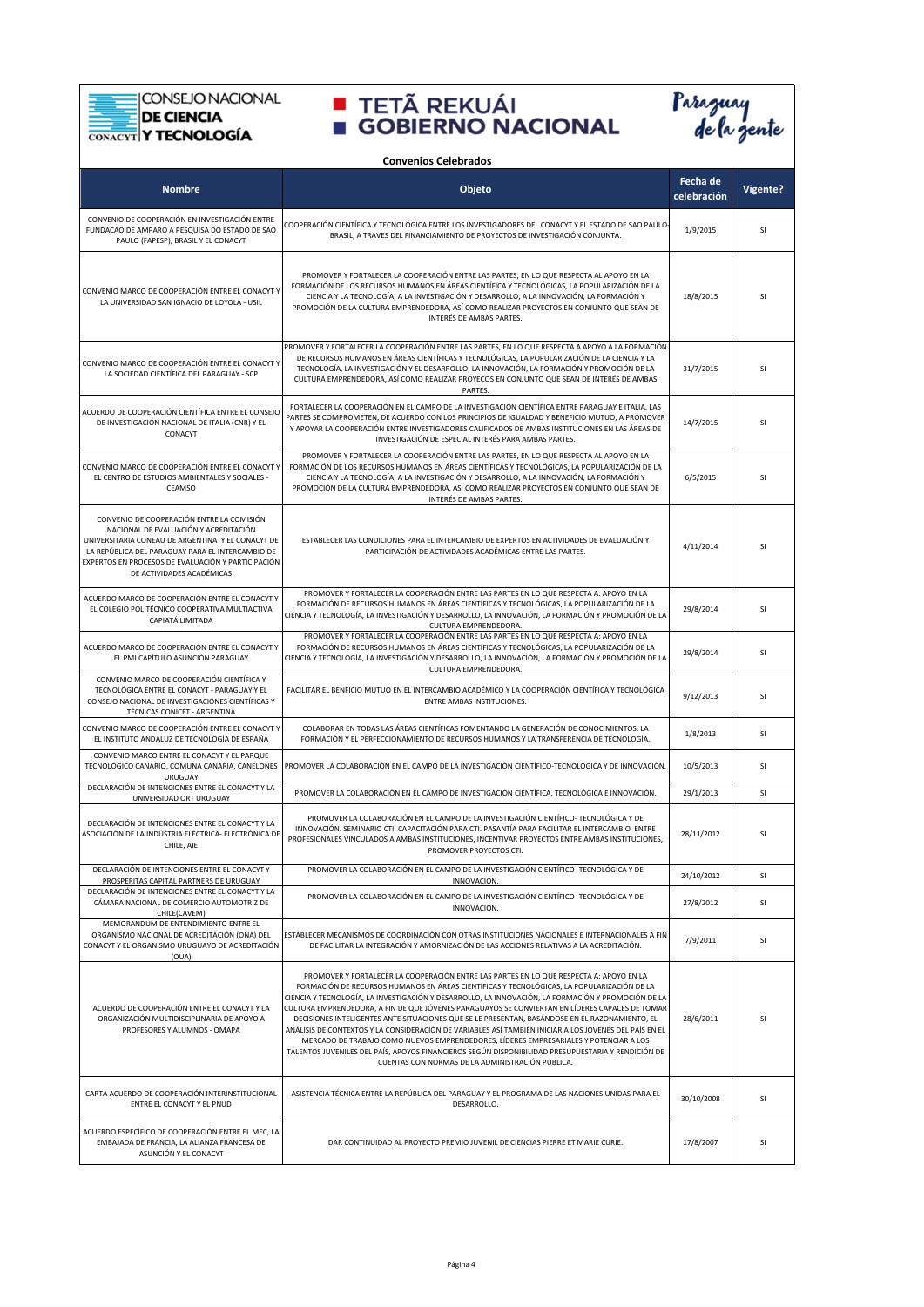CONSEJO NACIONAL

### **EXAMPLE CONSEJO NACIONAL DE CIENCIA<br>CONACYT Y TECNOLOGÍA**



| <b>Convenios Celebrados</b>                                                                                                                                                                                                                                                    |                                                                                                                                                                                                                                                                                                                                                                                                                                                                                                                                                                                                                                                                                                                                                                                                                                                               |                         |          |
|--------------------------------------------------------------------------------------------------------------------------------------------------------------------------------------------------------------------------------------------------------------------------------|---------------------------------------------------------------------------------------------------------------------------------------------------------------------------------------------------------------------------------------------------------------------------------------------------------------------------------------------------------------------------------------------------------------------------------------------------------------------------------------------------------------------------------------------------------------------------------------------------------------------------------------------------------------------------------------------------------------------------------------------------------------------------------------------------------------------------------------------------------------|-------------------------|----------|
| <b>Nombre</b>                                                                                                                                                                                                                                                                  | Objeto                                                                                                                                                                                                                                                                                                                                                                                                                                                                                                                                                                                                                                                                                                                                                                                                                                                        | Fecha de<br>celebración | Vigente? |
| CONVENIO DE COOPERACIÓN EN INVESTIGACIÓN ENTRE<br>FUNDACAO DE AMPARO Á PESQUISA DO ESTADO DE SAO<br>PAULO (FAPESP), BRASIL Y EL CONACYT                                                                                                                                        | COOPERACIÓN CIENTÍFICA Y TECNOLÓGICA ENTRE LOS INVESTIGADORES DEL CONACYT Y EL ESTADO DE SAO PAULO-<br>BRASIL, A TRAVES DEL FINANCIAMIENTO DE PROYECTOS DE INVESTIGACIÓN CONJUNTA.                                                                                                                                                                                                                                                                                                                                                                                                                                                                                                                                                                                                                                                                            | 1/9/2015                | SI       |
| CONVENIO MARCO DE COOPERACIÓN ENTRE EL CONACYT Y<br>LA UNIVERSIDAD SAN IGNACIO DE LOYOLA - USIL                                                                                                                                                                                | PROMOVER Y FORTALECER LA COOPERACIÓN ENTRE LAS PARTES, EN LO QUE RESPECTA AL APOYO EN LA<br>FORMACIÓN DE LOS RECURSOS HUMANOS EN ÁREAS CIENTÍFICA Y TECNOLÓGICAS, LA POPULARIZACIÓN DE LA<br>CIENCIA Y LA TECNOLOGÍA, A LA INVESTIGACIÓN Y DESARROLLO, A LA INNOVACIÓN, LA FORMACIÓN Y<br>PROMOCIÓN DE LA CULTURA EMPRENDEDORA, ASÍ COMO REALIZAR PROYECTOS EN CONJUNTO QUE SEAN DE<br>INTERÉS DE AMBAS PARTES.                                                                                                                                                                                                                                                                                                                                                                                                                                               | 18/8/2015               | SI       |
| CONVENIO MARCO DE COOPERACIÓN ENTRE EL CONACYT Y<br>LA SOCIEDAD CIENTÍFICA DEL PARAGUAY - SCP                                                                                                                                                                                  | PROMOVER Y FORTALECER LA COOPERACIÓN ENTRE LAS PARTES, EN LO QUE RESPECTA A APOYO A LA FORMACIÓN<br>DE RECURSOS HUMANOS EN ÁREAS CIENTÍFICAS Y TECNOLÓGICAS, LA POPULARIZACIÓN DE LA CIENCIA Y LA<br>TECNOLOGÍA, LA INVESTIGACIÓN Y EL DESARROLLO, LA INNOVACIÓN, LA FORMACIÓN Y PROMOCIÓN DE LA<br>CULTURA EMPRENDEDORA, ASÍ COMO REALIZAR PROYECOS EN CONJUNTO QUE SEAN DE INTERÉS DE AMBAS<br>PARTES.                                                                                                                                                                                                                                                                                                                                                                                                                                                      | 31/7/2015               | SI       |
| ACUERDO DE COOPERACIÓN CIENTÍFICA ENTRE EL CONSEJO<br>DE INVESTIGACIÓN NACIONAL DE ITALIA (CNR) Y EL<br>CONACYT                                                                                                                                                                | FORTALECER LA COOPERACIÓN EN EL CAMPO DE LA INVESTIGACIÓN CIENTÍFICA ENTRE PARAGUAY E ITALIA. LAS<br>PARTES SE COMPROMETEN, DE ACUERDO CON LOS PRINCIPIOS DE IGUALDAD Y BENEFICIO MUTUO, A PROMOVER<br>Y APOYAR LA COOPERACIÓN ENTRE INVESTIGADORES CALIFICADOS DE AMBAS INSTITUCIONES EN LAS ÁREAS DE<br>INVESTIGACIÓN DE ESPECIAL INTERÉS PARA AMBAS PARTES.                                                                                                                                                                                                                                                                                                                                                                                                                                                                                                | 14/7/2015               | SI       |
| CONVENIO MARCO DE COOPERACIÓN ENTRE EL CONACYT Y<br>EL CENTRO DE ESTUDIOS AMBIENTALES Y SOCIALES -<br>CEAMSO                                                                                                                                                                   | PROMOVER Y FORTALECER LA COOPERACIÓN ENTRE LAS PARTES, EN LO QUE RESPECTA AL APOYO EN LA<br>FORMACIÓN DE LOS RECURSOS HUMANOS EN ÁREAS CIENTÍFICAS Y TECNOLÓGICAS, LA POPULARIZACIÓN DE LA<br>CIENCIA Y LA TECNOLOGÍA, A LA INVESTIGACIÓN Y DESARROLLO, A LA INNOVACIÓN, LA FORMACIÓN Y<br>PROMOCIÓN DE LA CULTURA EMPRENDEDORA, ASÍ COMO REALIZAR PROYECTOS EN CONJUNTO QUE SEAN DE<br>INTERÉS DE AMBAS PARTES.                                                                                                                                                                                                                                                                                                                                                                                                                                              | 6/5/2015                | SI       |
| CONVENIO DE COOPERACIÓN ENTRE LA COMISIÓN<br>NACIONAL DE EVALUACIÓN Y ACREDITACIÓN<br>UNIVERSITARIA CONEAU DE ARGENTINA Y EL CONACYT DE<br>LA REPÚBLICA DEL PARAGUAY PARA EL INTERCAMBIO DE<br>EXPERTOS EN PROCESOS DE EVALUACIÓN Y PARTICIPACIÓN<br>DE ACTIVIDADES ACADÉMICAS | ESTABLECER LAS CONDICIONES PARA EL INTERCAMBIO DE EXPERTOS EN ACTIVIDADES DE EVALUACIÓN Y<br>PARTICIPACIÓN DE ACTIVIDADES ACADÉMICAS ENTRE LAS PARTES.                                                                                                                                                                                                                                                                                                                                                                                                                                                                                                                                                                                                                                                                                                        | 4/11/2014               | SI       |
| ACUERDO MARCO DE COOPERACIÓN ENTRE EL CONACYT Y<br>EL COLEGIO POLITÉCNICO COOPERATIVA MULTIACTIVA<br>CAPIATÁ LIMITADA                                                                                                                                                          | PROMOVER Y FORTALECER LA COOPERACIÓN ENTRE LAS PARTES EN LO QUE RESPECTA A: APOYO EN LA<br>FORMACIÓN DE RECURSOS HUMANOS EN ÁREAS CIENTÍFICAS Y TECNOLÓGICAS, LA POPULARIZACIÓN DE LA<br>CIENCIA Y TECNOLOGÍA, LA INVESTIGACIÓN Y DESARROLLO, LA INNOVACIÓN, LA FORMACIÓN Y PROMOCIÓN DE LA<br>CULTURA EMPRENDEDORA.                                                                                                                                                                                                                                                                                                                                                                                                                                                                                                                                          | 29/8/2014               | SI       |
| ACUERDO MARCO DE COOPERACIÓN ENTRE EL CONACYT Y<br>EL PMI CAPÍTULO ASUNCIÓN PARAGUAY                                                                                                                                                                                           | PROMOVER Y FORTALECER LA COOPERACIÓN ENTRE LAS PARTES EN LO QUE RESPECTA A: APOYO EN LA<br>FORMACIÓN DE RECURSOS HUMANOS EN ÁREAS CIENTÍFICAS Y TECNOLÓGICAS, LA POPULARIZACIÓN DE LA<br>CIENCIA Y TECNOLOGÍA, LA INVESTIGACIÓN Y DESARROLLO, LA INNOVACIÓN, LA FORMACIÓN Y PROMOCIÓN DE LA<br>CULTURA EMPRENDEDORA.                                                                                                                                                                                                                                                                                                                                                                                                                                                                                                                                          | 29/8/2014               | SI       |
| CONVENIO MARCO DE COOPERACIÓN CIENTÍFICA Y<br>TECNOLÓGICA ENTRE EL CONACYT - PARAGUAY Y EL<br>CONSEJO NACIONAL DE INVESTIGACIONES CIENTÍFICAS Y<br>TÉCNICAS CONICET - ARGENTINA                                                                                                | FACILITAR EL BENFICIO MUTUO EN EL INTERCAMBIO ACADÉMICO Y LA COOPERACIÓN CIENTÍFICA Y TECNOLÓGICA<br>ENTRE AMBAS INSTITUCIONES.                                                                                                                                                                                                                                                                                                                                                                                                                                                                                                                                                                                                                                                                                                                               | 9/12/2013               | SI       |
| CONVENIO MARCO DE COOPERACIÓN ENTRE EL CONACYT Y<br>EL INSTITUTO ANDALUZ DE TECNOLOGÍA DE ESPAÑA                                                                                                                                                                               | COLABORAR EN TODAS LAS ÁREAS CIENTÍFICAS FOMENTANDO LA GENERACIÓN DE CONOCIMIENTOS, LA<br>FORMACIÓN Y EL PERFECCIONAMIENTO DE RECURSOS HUMANOS Y LA TRANSFERENCIA DE TECNOLOGÍA.                                                                                                                                                                                                                                                                                                                                                                                                                                                                                                                                                                                                                                                                              | 1/8/2013                | SI       |
| CONVENIO MARCO ENTRE EL CONACYT Y EL PARQUE<br><b>URUGUAY</b>                                                                                                                                                                                                                  | TECNOLÓGICO CANARIO, COMUNA CANARIA, CANELONES PROMOVER LA COLABORACIÓN EN EL CAMPO DE LA INVESTIGACIÓN CIENTÍFICO-TECNOLÓGICA Y DE INNOVACIÓN                                                                                                                                                                                                                                                                                                                                                                                                                                                                                                                                                                                                                                                                                                                | 10/5/2013               | SI       |
| DECLARACIÓN DE INTENCIONES ENTRE EL CONACYT Y LA<br>UNIVERSIDAD ORT URUGUAY                                                                                                                                                                                                    | PROMOVER LA COLABORACIÓN EN EL CAMPO DE INVESTIGACIÓN CIENTÍFICA, TECNOLÓGICA E INNOVACIÓN.                                                                                                                                                                                                                                                                                                                                                                                                                                                                                                                                                                                                                                                                                                                                                                   | 29/1/2013               | SI       |
| DECLARACIÓN DE INTENCIONES ENTRE EL CONACYT Y LA<br>ASOCIACIÓN DE LA INDÚSTRIA ELÉCTRICA- ELECTRÓNICA DE<br>CHILE, AIE                                                                                                                                                         | PROMOVER LA COLABORACIÓN EN EL CAMPO DE LA INVESTIGACIÓN CIENTÍFICO- TECNOLÓGICA Y DE<br>INNOVACIÓN. SEMINARIO CTI, CAPACITACIÓN PARA CTI. PASANTÍA PARA FACILITAR EL INTERCAMBIO ENTRE<br>PROFESIONALES VINCULADOS A AMBAS INSTITUCIONES, INCENTIVAR PROYECTOS ENTRE AMBAS INSTITUCIONES,<br>PROMOVER PROYECTOS CTI.                                                                                                                                                                                                                                                                                                                                                                                                                                                                                                                                         | 28/11/2012              | SI       |
| DECLARACIÓN DE INTENCIONES ENTRE EL CONACYT Y<br>PROSPERITAS CAPITAL PARTNERS DE URUGUAY                                                                                                                                                                                       | PROMOVER LA COLABORACIÓN EN EL CAMPO DE LA INVESTIGACIÓN CIENTÍFICO- TECNOLÓGICA Y DE<br>INNOVACIÓN.                                                                                                                                                                                                                                                                                                                                                                                                                                                                                                                                                                                                                                                                                                                                                          | 24/10/2012              | SI       |
| DECLARACIÓN DE INTENCIONES ENTRE EL CONACYT Y LA<br>CÁMARA NACIONAL DE COMERCIO AUTOMOTRIZ DE<br>CHILE(CAVEM)                                                                                                                                                                  | PROMOVER LA COLABORACIÓN EN EL CAMPO DE LA INVESTIGACIÓN CIENTÍFICO- TECNOLÓGICA Y DE<br>INNOVACIÓN.                                                                                                                                                                                                                                                                                                                                                                                                                                                                                                                                                                                                                                                                                                                                                          | 27/8/2012               | SI       |
| MEMORANDUM DE ENTENDIMIENTO ENTRE EL<br>ORGANISMO NACIONAL DE ACREDITACIÓN (ONA) DEL<br>CONACYT Y EL ORGANISMO URUGUAYO DE ACREDITACIÓN<br>(OUA)                                                                                                                               | ESTABLECER MECANISMOS DE COORDINACIÓN CON OTRAS INSTITUCIONES NACIONALES E INTERNACIONALES A FIN<br>DE FACILITAR LA INTEGRACIÓN Y AMORNIZACIÓN DE LAS ACCIONES RELATIVAS A LA ACREDITACIÓN.                                                                                                                                                                                                                                                                                                                                                                                                                                                                                                                                                                                                                                                                   | 7/9/2011                | SI       |
| ACUERDO DE COOPERACIÓN ENTRE EL CONACYT Y LA<br>ORGANIZACIÓN MULTIDISCIPLINARIA DE APOYO A<br>PROFESORES Y ALUMNOS - OMAPA                                                                                                                                                     | PROMOVER Y FORTALECER LA COOPERACIÓN ENTRE LAS PARTES EN LO QUE RESPECTA A: APOYO EN LA<br>FORMACIÓN DE RECURSOS HUMANOS EN ÁREAS CIENTÍFICAS Y TECNOLÓGICAS, LA POPULARIZACIÓN DE LA<br>CIENCIA Y TECNOLOGÍA, LA INVESTIGACIÓN Y DESARROLLO, LA INNOVACIÓN, LA FORMACIÓN Y PROMOCIÓN DE LA<br>CULTURA EMPRENDEDORA, A FIN DE QUE JÓVENES PARAGUAYOS SE CONVIERTAN EN LÍDERES CAPACES DE TOMAR<br>DECISIONES INTELIGENTES ANTE SITUACIONES QUE SE LE PRESENTAN, BASÁNDOSE EN EL RAZONAMIENTO, EL<br>ANÁLISIS DE CONTEXTOS Y LA CONSIDERACIÓN DE VARIABLES ASÍ TAMBIÉN INICIAR A LOS JÓVENES DEL PAÍS EN EL<br>MERCADO DE TRABAJO COMO NUEVOS EMPRENDEDORES, LÍDERES EMPRESARIALES Y POTENCIAR A LOS<br>TALENTOS JUVENILES DEL PAÍS, APOYOS FINANCIEROS SEGÚN DISPONIBILIDAD PRESUPUESTARIA Y RENDICIÓN DE<br>CUENTAS CON NORMAS DE LA ADMINISTRACIÓN PÚBLICA. | 28/6/2011               | SI       |
| CARTA ACUERDO DE COOPERACIÓN INTERINSTITUCIONAL<br>ENTRE EL CONACYT Y EL PNUD                                                                                                                                                                                                  | ASISTENCIA TÉCNICA ENTRE LA REPÚBLICA DEL PARAGUAY Y EL PROGRAMA DE LAS NACIONES UNIDAS PARA EL<br>DESARROLLO.                                                                                                                                                                                                                                                                                                                                                                                                                                                                                                                                                                                                                                                                                                                                                | 30/10/2008              | SI       |
| ACUERDO ESPECÍFICO DE COOPERACIÓN ENTRE EL MEC, LA<br>EMBAJADA DE FRANCIA, LA ALIANZA FRANCESA DE<br>ASUNCIÓN Y EL CONACYT                                                                                                                                                     | DAR CONTINUIDAD AL PROYECTO PREMIO JUVENIL DE CIENCIAS PIERRE ET MARIE CURIE.                                                                                                                                                                                                                                                                                                                                                                                                                                                                                                                                                                                                                                                                                                                                                                                 | 17/8/2007               | SI       |